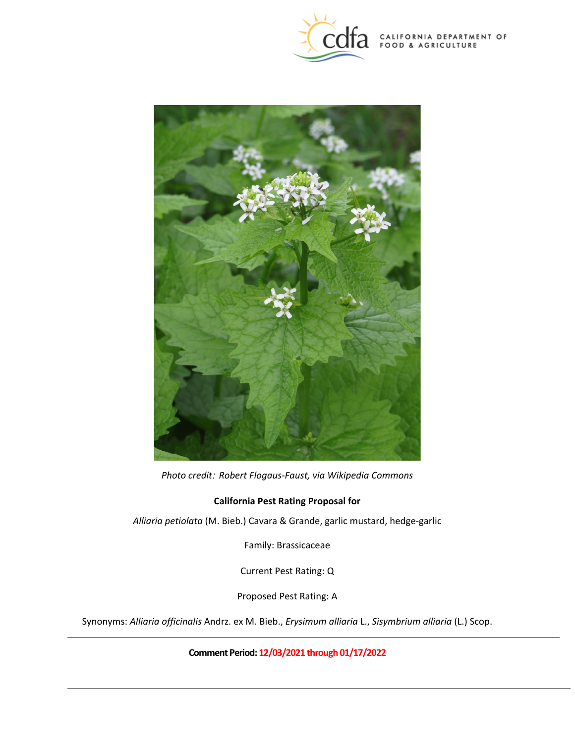

CALIFORNIA DEPARTMENT OF FOOD & AGRICULTURE



*Photo credit: Robert Flogaus-Faust, via Wikipedia Commons* 

## **California Pest Rating Proposal for**

*Alliaria petiolata* (M. Bieb.) Cavara & Grande, garlic mustard, hedge-garlic

Family: Brassicaceae

Current Pest Rating: Q

Proposed Pest Rating: A

Synonyms: *Alliaria officinalis* Andrz. ex M. Bieb., *Erysimum alliaria* L., *Sisymbrium alliaria* (L.) Scop.

**Comment Period: 12/03/2021 through 01/17/2022**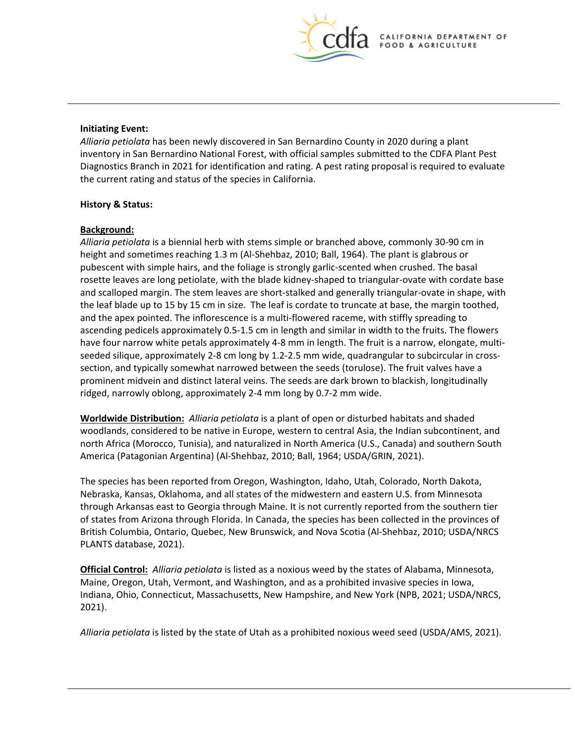

#### **Initiating Event:**

 *Alliaria petiolata* has been newly discovered in San Bernardino County in 2020 during a plant the current rating and status of the species in California. inventory in San Bernardino National Forest, with official samples submitted to the CDFA Plant Pest Diagnostics Branch in 2021 for identification and rating. A pest rating proposal is required to evaluate

#### **History & Status:**

## **Background:**

 height and sometimes reaching 1.3 m (Al-Shehbaz, 2010; Ball, 1964). The plant is glabrous or the leaf blade up to 15 by 15 cm in size. The leaf is cordate to truncate at base, the margin toothed, and the apex pointed. The inflorescence is a multi-flowered raceme, with stiffly spreading to seeded silique, approximately 2-8 cm long by 1.2-2.5 mm wide, quadrangular to subcircular in cross- prominent midvein and distinct lateral veins. The seeds are dark brown to blackish, longitudinally *Alliaria petiolata* is a biennial herb with stems simple or branched above, commonly 30-90 cm in pubescent with simple hairs, and the foliage is strongly garlic-scented when crushed. The basal rosette leaves are long petiolate, with the blade kidney-shaped to triangular-ovate with cordate base and scalloped margin. The stem leaves are short-stalked and generally triangular-ovate in shape, with ascending pedicels approximately 0.5-1.5 cm in length and similar in width to the fruits. The flowers have four narrow white petals approximately 4-8 mm in length. The fruit is a narrow, elongate, multisection, and typically somewhat narrowed between the seeds (torulose). The fruit valves have a ridged, narrowly oblong, approximately 2-4 mm long by 0.7-2 mm wide.

 woodlands, considered to be native in Europe, western to central Asia, the Indian subcontinent, and **Worldwide Distribution:** *Alliaria petiolata* is a plant of open or disturbed habitats and shaded north Africa (Morocco, Tunisia), and naturalized in North America (U.S., Canada) and southern South America (Patagonian Argentina) (Al-Shehbaz, 2010; Ball, 1964; USDA/GRIN, 2021).

 The species has been reported from Oregon, Washington, Idaho, Utah, Colorado, North Dakota, through Arkansas east to Georgia through Maine. It is not currently reported from the southern tier Nebraska, Kansas, Oklahoma, and all states of the midwestern and eastern U.S. from Minnesota of states from Arizona through Florida. In Canada, the species has been collected in the provinces of British Columbia, Ontario, Quebec, New Brunswick, and Nova Scotia (Al-Shehbaz, 2010; USDA/NRCS PLANTS database, 2021).

 **Official Control:** *Alliaria petiolata* is listed as a noxious weed by the states of Alabama, Minnesota, Maine, Oregon, Utah, Vermont, and Washington, and as a prohibited invasive species in Iowa, Indiana, Ohio, Connecticut, Massachusetts, New Hampshire, and New York (NPB, 2021; USDA/NRCS, 2021).

*Alliaria petiolata* is listed by the state of Utah as a prohibited noxious weed seed (USDA/AMS, 2021).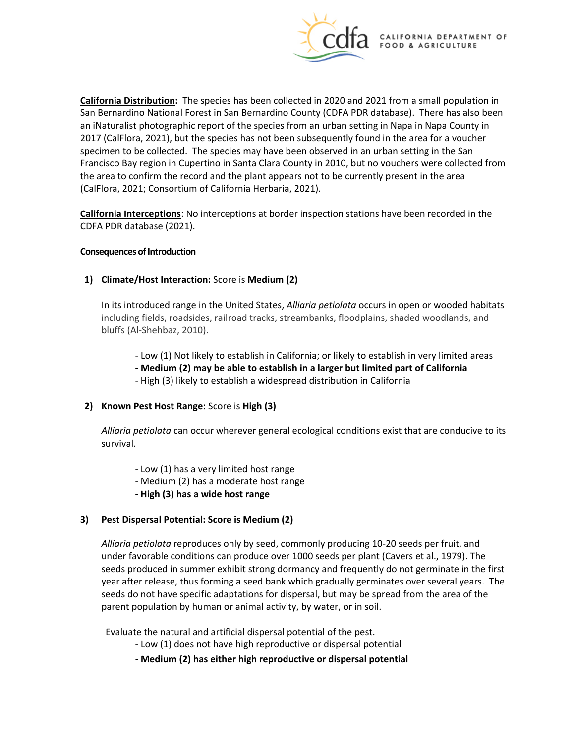

 specimen to be collected. The species may have been observed in an urban setting in the San **California Distribution:** The species has been collected in 2020 and 2021 from a small population in San Bernardino National Forest in San Bernardino County (CDFA PDR database). There has also been an iNaturalist photographic report of the species from an urban setting in Napa in Napa County in 2017 (CalFlora, 2021), but the species has not been subsequently found in the area for a voucher Francisco Bay region in Cupertino in Santa Clara County in 2010, but no vouchers were collected from the area to confirm the record and the plant appears not to be currently present in the area (CalFlora, 2021; Consortium of California Herbaria, 2021).

**California Interceptions**: No interceptions at border inspection stations have been recorded in the CDFA PDR database (2021).

#### **Consequences of Introduction**

# **Consequences of Introduction 1) Climate/Host Interaction:** Score is **Medium (2)**

 including fields, roadsides, railroad tracks, streambanks, floodplains, shaded woodlands, and In its introduced range in the United States, *Alliaria petiolata* occurs in open or wooded habitats bluffs (Al-Shehbaz, 2010).

- Low (1) Not likely to establish in California; or likely to establish in very limited areas
- **- Medium (2) may be able to establish in a larger but limited part of California**
- High (3) likely to establish a widespread distribution in California
- **2) Known Pest Host Range:** Score is **High (3)**

*Alliaria petiolata* can occur wherever general ecological conditions exist that are conducive to its survival.

- Low (1) has a very limited host range
- Medium (2) has a moderate host range
- **- High (3) has a wide host range**

# **3) Pest Dispersal Potential: Score is Medium (2)**

 *Alliaria petiolata* reproduces only by seed, commonly producing 10-20 seeds per fruit, and year after release, thus forming a seed bank which gradually germinates over several years. The under favorable conditions can produce over 1000 seeds per plant (Cavers et al., 1979). The seeds produced in summer exhibit strong dormancy and frequently do not germinate in the first seeds do not have specific adaptations for dispersal, but may be spread from the area of the parent population by human or animal activity, by water, or in soil.

Evaluate the natural and artificial dispersal potential of the pest.

- Low (1) does not have high reproductive or dispersal potential
- **- Medium (2) has either high reproductive or dispersal potential**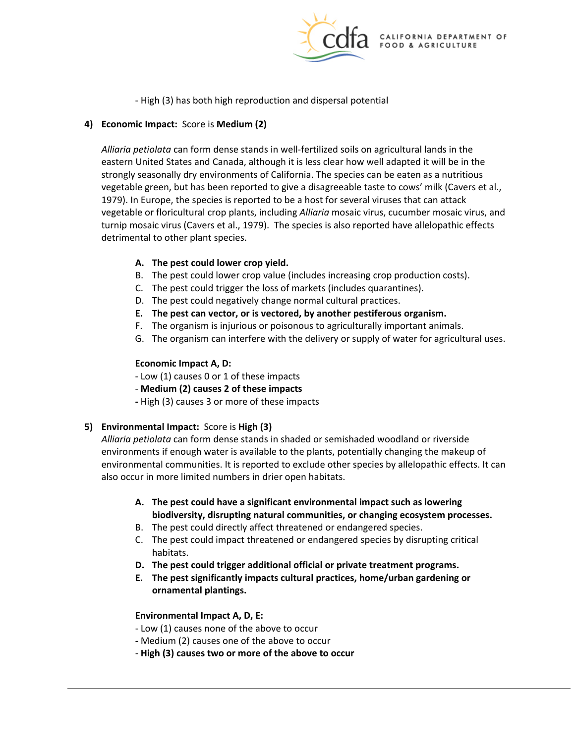

- High (3) has both high reproduction and dispersal potential

# **4) Economic Impact:** Score is **Medium (2)**

 vegetable green, but has been reported to give a disagreeable taste to cows' milk (Cavers et al., 1979). In Europe, the species is reported to be a host for several viruses that can attack vegetable or floricultural crop plants, including *Alliaria* mosaic virus, cucumber mosaic virus, and turnip mosaic virus (Cavers et al., 1979). The species is also reported have allelopathic effects *Alliaria petiolata* can form dense stands in well-fertilized soils on agricultural lands in the eastern United States and Canada, although it is less clear how well adapted it will be in the strongly seasonally dry environments of California. The species can be eaten as a nutritious detrimental to other plant species.

# **A. The pest could lower crop yield.**

- B. The pest could lower crop value (includes increasing crop production costs).
- C. The pest could trigger the loss of markets (includes quarantines).
- D. The pest could negatively change normal cultural practices.
- **E. The pest can vector, or is vectored, by another pestiferous organism.**
- F. The organism is injurious or poisonous to agriculturally important animals.
- G. The organism can interfere with the delivery or supply of water for agricultural uses.

## **Economic Impact A, D:**

- Low (1) causes 0 or 1 of these impacts
- **Medium (2) causes 2 of these impacts**
- **-** High (3) causes 3 or more of these impacts

# **5) Environmental Impact:** Score is **High (3)**

 *Alliaria petiolata* can form dense stands in shaded or semishaded woodland or riverside environments if enough water is available to the plants, potentially changing the makeup of environmental communities. It is reported to exclude other species by allelopathic effects. It can also occur in more limited numbers in drier open habitats.

- **A. The pest could have a significant environmental impact such as lowering biodiversity, disrupting natural communities, or changing ecosystem processes.**
- B. The pest could directly affect threatened or endangered species.
- habitats. C. The pest could impact threatened or endangered species by disrupting critical
- **D. The pest could trigger additional official or private treatment programs.**
- **E. The pest significantly impacts cultural practices, home/urban gardening or ornamental plantings.**

#### **Environmental Impact A, D, E:**

- Low (1) causes none of the above to occur
- **-** Medium (2) causes one of the above to occur
- **High (3) causes two or more of the above to occur**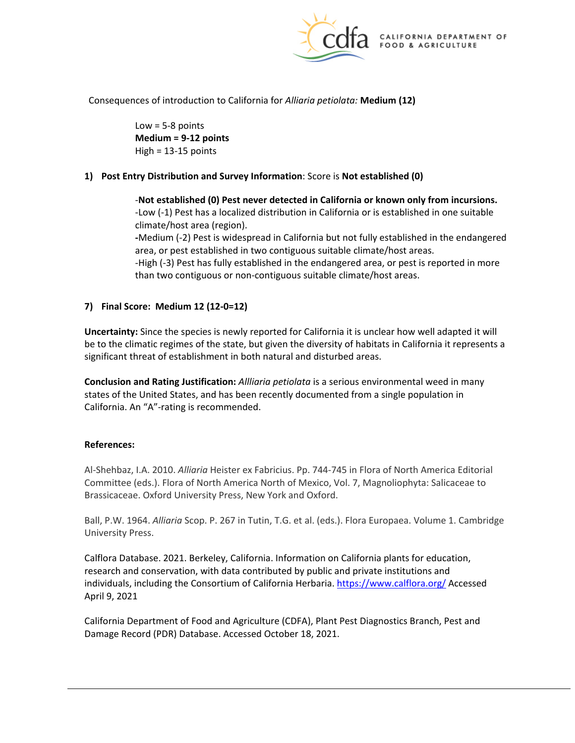

 Consequences of introduction to California for *Alliaria petiolata:* **Medium (12)** 

 $Low = 5-8$  points **Medium = 9-12 points**   $High = 13-15$  points

# **1) Post Entry Distribution and Survey Information**: Score is **Not established (0)**

-**Not established (0) Pest never detected in California or known only from incursions.**  -Low (-1) Pest has a localized distribution in California or is established in one suitable climate/host area (region).

**-**Medium (-2) Pest is widespread in California but not fully established in the endangered area, or pest established in two contiguous suitable climate/host areas.

-High (-3) Pest has fully established in the endangered area, or pest is reported in more than two contiguous or non-contiguous suitable climate/host areas.

## **7) Final Score: Medium 12 (12-0=12)**

 **Uncertainty:** Since the species is newly reported for California it is unclear how well adapted it will be to the climatic regimes of the state, but given the diversity of habitats in California it represents a significant threat of establishment in both natural and disturbed areas.

 **Conclusion and Rating Justification:** *Allliaria petiolata* is a serious environmental weed in many states of the United States, and has been recently documented from a single population in California. An "A"-rating is recommended.

#### **References:**

Al-Shehbaz, I.A. 2010. *Alliaria* Heister ex Fabricius. Pp. 744-745 in Flora of North America Editorial Committee (eds.). Flora of North America North of Mexico, Vol. 7, Magnoliophyta: Salicaceae to Brassicaceae. Oxford University Press, New York and Oxford.

Ball, P.W. 1964. *Alliaria* Scop. P. 267 in Tutin, T.G. et al. (eds.). Flora Europaea. Volume 1. Cambridge University Press.

Calflora Database. 2021. Berkeley, California. Information on California plants for education, research and conservation, with data contributed by public and private institutions and individuals, including the [Consortium of California Herbaria.](http://ucjeps.berkeley.edu/consortium/about.html)<https://www.calflora.org/>Accessed April 9, 2021

 California Department of Food and Agriculture (CDFA), Plant Pest Diagnostics Branch, Pest and Damage Record (PDR) Database. Accessed October 18, 2021.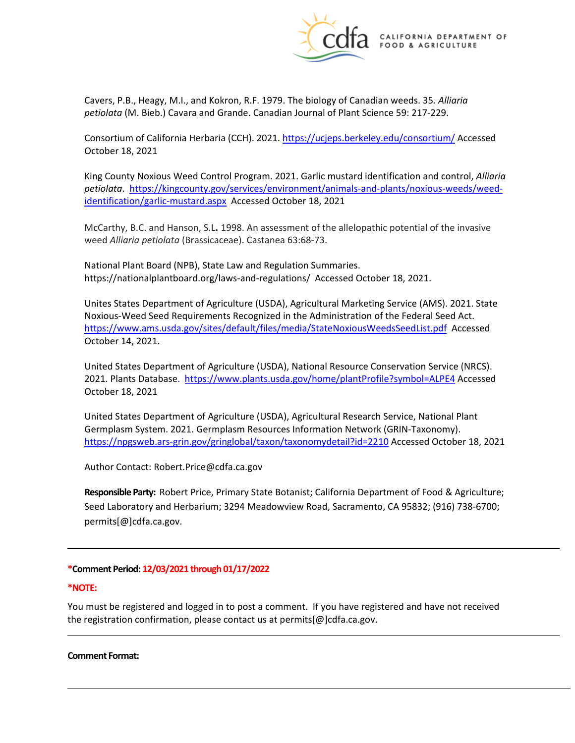

 *petiolata* (M. Bieb.) Cavara and Grande. Canadian Journal of Plant Science 59: 217-229. Cavers, P.B., Heagy, M.I., and Kokron, R.F. 1979. The biology of Canadian weeds. 35*. Alliaria* 

Consortium of California Herbaria (CCH). 2021.<https://ucjeps.berkeley.edu/consortium/>Accessed October 18, 2021

 King County Noxious Weed Control Program. 2021. Garlic mustard identification and control, *Alliaria petiolata*. [https://kingcounty.gov/services/environment/animals-and-plants/noxious-weeds/weed-](https://kingcounty.gov/services/environment/animals-and-plants/noxious-weeds/weed-identification/garlic-mustard.aspx)[identification/garlic-mustard.aspx](https://kingcounty.gov/services/environment/animals-and-plants/noxious-weeds/weed-identification/garlic-mustard.aspx) Accessed October 18, 2021

 McCarthy, B.C. and Hanson, S.L**.** 1998. An assessment of the allelopathic potential of the invasive weed *Alliaria petiolata* (Brassicaceae). Castanea 63:68-73.

National Plant Board (NPB), State Law and Regulation Summaries. National Plant Board (NPB), State Law and Regulation Summaries.<br><https://nationalplantboard.org/laws-and-regulations>/ Accessed October 18, 2021.

<https://www.ams.usda.gov/sites/default/files/media/StateNoxiousWeedsSeedList.pdf>Accessed October 14, 2021. Unites States Department of Agriculture (USDA), Agricultural Marketing Service (AMS). 2021. State Noxious-Weed Seed Requirements Recognized in the Administration of the Federal Seed Act.

United States Department of Agriculture (USDA), National Resource Conservation Service (NRCS). 2021. Plants Database. <https://www.plants.usda.gov/home/plantProfile?symbol=ALPE4>Accessed October 18, 2021

<https://npgsweb.ars-grin.gov/gringlobal/taxon/taxonomydetail?id=2210>Accessed October 18, 2021 United States Department of Agriculture (USDA), Agricultural Research Service, National Plant Germplasm System. 2021. Germplasm Resources Information Network (GRIN-Taxonomy).

Author Contact: [Robert.Price@cdfa.ca.gov](mailto:Robert.Price@cdfa.ca.gov) 

 **Responsible Party:** Robert Price, Primary State Botanist; California Department of Food & Agriculture; Seed Laboratory and Herbarium; 3294 Meadowview Road, Sacramento, CA 95832; (916) 738-6700; [permits\[@\]cdfa.ca.gov](https://permits[@]cdfa.ca.gov).

#### **\*Comment Period: 12/03/2021 through 01/17/2022**

#### **\*NOTE:**

 You must be registered and logged in to post a comment. If you have registered and have not received the registration confirmation, please contact us at [permits\[@\]cdfa.ca.gov](https://permits[@]cdfa.ca.gov).

#### **Comment Format:**